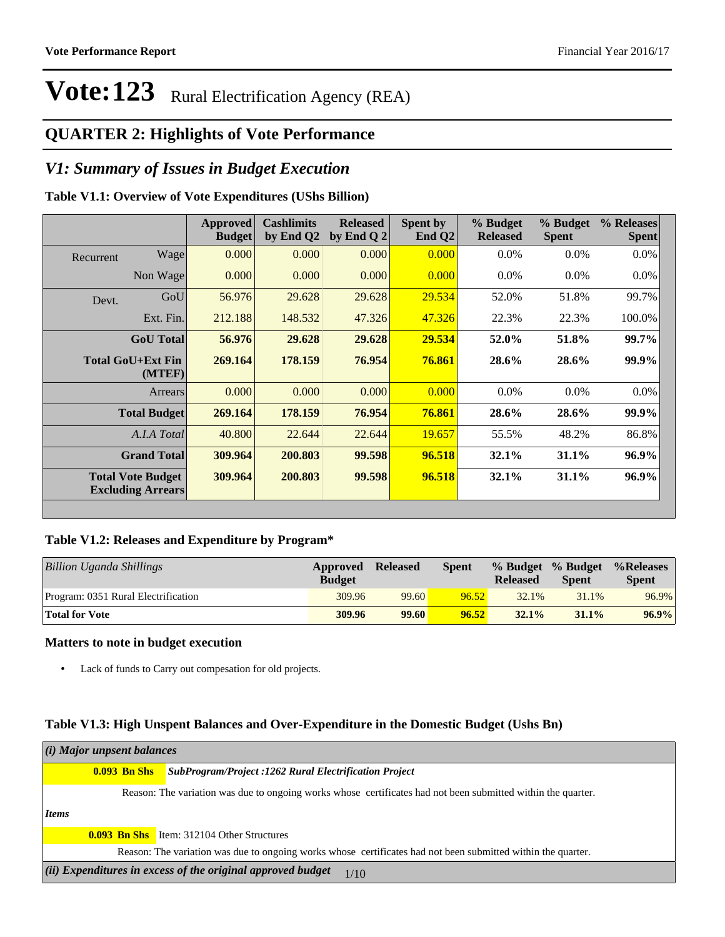## **QUARTER 2: Highlights of Vote Performance**

### *V1: Summary of Issues in Budget Execution*

### **Table V1.1: Overview of Vote Expenditures (UShs Billion)**

|           |                                                      | Approved<br><b>Budget</b> | <b>Cashlimits</b><br>by End Q2 | <b>Released</b><br>by End Q $2$ | Spent by<br>End $Q2$ | % Budget<br><b>Released</b> | % Budget<br><b>Spent</b> | % Releases<br><b>Spent</b> |
|-----------|------------------------------------------------------|---------------------------|--------------------------------|---------------------------------|----------------------|-----------------------------|--------------------------|----------------------------|
| Recurrent | Wage                                                 | 0.000                     | 0.000                          | 0.000                           | 0.000                | $0.0\%$                     | $0.0\%$                  | $0.0\%$                    |
|           | Non Wage                                             | 0.000                     | 0.000                          | 0.000                           | 0.000                | $0.0\%$                     | $0.0\%$                  | $0.0\%$                    |
| Devt.     | GoU                                                  | 56.976                    | 29.628                         | 29.628                          | 29.534               | 52.0%                       | 51.8%                    | 99.7%                      |
|           | Ext. Fin.                                            | 212.188                   | 148.532                        | 47.326                          | 47.326               | 22.3%                       | 22.3%                    | 100.0%                     |
|           | <b>GoU</b> Total                                     | 56.976                    | 29.628                         | 29.628                          | 29.534               | 52.0%                       | 51.8%                    | 99.7%                      |
|           | Total GoU+Ext Fin<br>(MTEF)                          | 269.164                   | 178.159                        | 76.954                          | 76.861               | 28.6%                       | 28.6%                    | 99.9%                      |
|           | Arrears                                              | 0.000                     | 0.000                          | 0.000                           | 0.000                | $0.0\%$                     | $0.0\%$                  | $0.0\%$                    |
|           | <b>Total Budget</b>                                  | 269.164                   | 178.159                        | 76.954                          | 76.861               | 28.6%                       | 28.6%                    | 99.9%                      |
|           | A.I.A Total                                          | 40.800                    | 22.644                         | 22.644                          | 19.657               | 55.5%                       | 48.2%                    | 86.8%                      |
|           | <b>Grand Total</b>                                   | 309.964                   | 200.803                        | 99.598                          | 96.518               | 32.1%                       | 31.1%                    | 96.9%                      |
|           | <b>Total Vote Budget</b><br><b>Excluding Arrears</b> | 309.964                   | 200.803                        | 99.598                          | 96.518               | 32.1%                       | 31.1%                    | 96.9%                      |

#### **Table V1.2: Releases and Expenditure by Program\***

| Billion Uganda Shillings            | Approved<br><b>Budget</b> | <b>Released</b> | <b>Spent</b> | <b>Released</b> | % Budget % Budget<br><b>Spent</b> | %Releases<br><b>Spent</b> |
|-------------------------------------|---------------------------|-----------------|--------------|-----------------|-----------------------------------|---------------------------|
| Program: 0351 Rural Electrification | 309.96                    | 99.60           | 96.52        | 32.1%           | 31.1%                             | 96.9%                     |
| <b>Total for Vote</b>               | 309.96                    | 99.60           | 96.52        | 32.1%           | $31.1\%$                          | $96.9\%$                  |

#### **Matters to note in budget execution**

Lack of funds to Carry out compesation for old projects.

#### **Table V1.3: High Unspent Balances and Over-Expenditure in the Domestic Budget (Ushs Bn)**

| (i) Major unpsent balances |  |                                                                                                              |  |  |  |  |
|----------------------------|--|--------------------------------------------------------------------------------------------------------------|--|--|--|--|
| <b>0.093 Bn Shs</b>        |  | <b>SubProgram/Project :1262 Rural Electrification Project</b>                                                |  |  |  |  |
|                            |  | Reason: The variation was due to ongoing works whose certificates had not been submitted within the quarter. |  |  |  |  |
| <i>Items</i>               |  |                                                                                                              |  |  |  |  |
|                            |  | <b>0.093 Bn Shs</b> Item: 312104 Other Structures                                                            |  |  |  |  |
|                            |  | Reason: The variation was due to ongoing works whose certificates had not been submitted within the quarter. |  |  |  |  |
|                            |  | (ii) Expenditures in excess of the original approved budget<br>1/10                                          |  |  |  |  |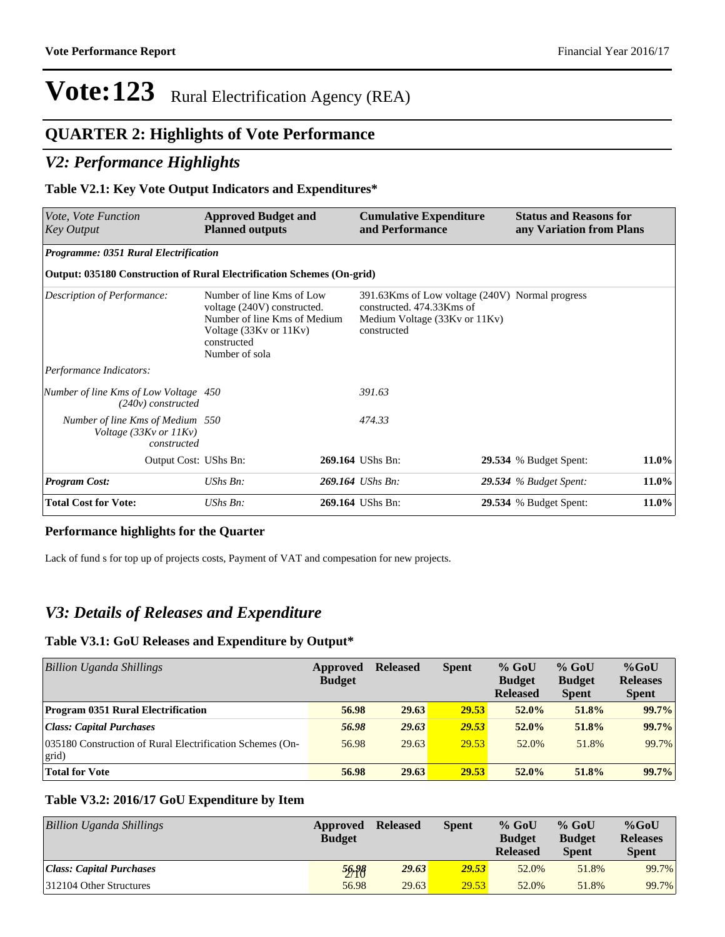### **QUARTER 2: Highlights of Vote Performance**

### *V2: Performance Highlights*

#### **Table V2.1: Key Vote Output Indicators and Expenditures\***

| <i>Vote, Vote Function</i><br><b>Key Output</b>                                      | <b>Approved Budget and</b><br><b>Planned outputs</b>                                                                                                | <b>Cumulative Expenditure</b><br>and Performance                                                                             |  | <b>Status and Reasons for</b><br>any Variation from Plans |       |
|--------------------------------------------------------------------------------------|-----------------------------------------------------------------------------------------------------------------------------------------------------|------------------------------------------------------------------------------------------------------------------------------|--|-----------------------------------------------------------|-------|
| Programme: 0351 Rural Electrification                                                |                                                                                                                                                     |                                                                                                                              |  |                                                           |       |
| Output: 035180 Construction of Rural Electrification Schemes (On-grid)               |                                                                                                                                                     |                                                                                                                              |  |                                                           |       |
| Description of Performance:                                                          | Number of line Kms of Low<br>voltage (240V) constructed.<br>Number of line Kms of Medium<br>Voltage (33Kv or 11Kv)<br>constructed<br>Number of sola | 391.63Kms of Low voltage (240V) Normal progress<br>constructed. 474.33Kms of<br>Medium Voltage (33Kv or 11Kv)<br>constructed |  |                                                           |       |
| Performance Indicators:                                                              |                                                                                                                                                     |                                                                                                                              |  |                                                           |       |
| Number of line Kms of Low Voltage 450<br>(240v) constructed                          |                                                                                                                                                     | 391.63                                                                                                                       |  |                                                           |       |
| Number of line Kms of Medium 550<br>Voltage $(33Kv \text{ or } 11Kv)$<br>constructed |                                                                                                                                                     | 474.33                                                                                                                       |  |                                                           |       |
| Output Cost: UShs Bn:                                                                |                                                                                                                                                     | 269.164 UShs Bn:                                                                                                             |  | <b>29.534</b> % Budget Spent:                             | 11.0% |
| <b>Program Cost:</b>                                                                 | UShs Bn:                                                                                                                                            | 269.164 UShs Bn:                                                                                                             |  | <b>29.534</b> % Budget Spent:                             | 11.0% |
| <b>Total Cost for Vote:</b>                                                          | UShs Bn:                                                                                                                                            | 269.164 UShs Bn:                                                                                                             |  | <b>29.534</b> % Budget Spent:                             | 11.0% |

#### **Performance highlights for the Quarter**

Lack of fund s for top up of projects costs, Payment of VAT and compesation for new projects.

### *V3: Details of Releases and Expenditure*

#### **Table V3.1: GoU Releases and Expenditure by Output\***

| Billion Uganda Shillings                                           | Approved<br><b>Budget</b> | <b>Released</b> | <b>Spent</b> | $%$ GoU<br><b>Budget</b><br><b>Released</b> | $%$ GoU<br><b>Budget</b><br><b>Spent</b> | $%$ GoU<br><b>Releases</b><br><b>Spent</b> |
|--------------------------------------------------------------------|---------------------------|-----------------|--------------|---------------------------------------------|------------------------------------------|--------------------------------------------|
| <b>Program 0351 Rural Electrification</b>                          | 56.98                     | 29.63           | 29.53        | $52.0\%$                                    | 51.8%                                    | 99.7%                                      |
| <b>Class: Capital Purchases</b>                                    | 56.98                     | 29.63           | 29.53        | $52.0\%$                                    | 51.8%                                    | 99.7%                                      |
| 035180 Construction of Rural Electrification Schemes (On-<br>grid) | 56.98                     | 29.63           | 29.53        | 52.0%                                       | 51.8%                                    | 99.7%                                      |
| <b>Total for Vote</b>                                              | 56.98                     | 29.63           | 29.53        | $52.0\%$                                    | 51.8%                                    | 99.7%                                      |

#### **Table V3.2: 2016/17 GoU Expenditure by Item**

| Billion Uganda Shillings | Approved<br><b>Budget</b> | <b>Released</b> | <b>Spent</b> | $%$ GoU<br><b>Budget</b><br><b>Released</b> | $%$ GoU<br><b>Budget</b><br><b>Spent</b> | $%$ GoU<br><b>Releases</b><br><b>Spent</b> |
|--------------------------|---------------------------|-----------------|--------------|---------------------------------------------|------------------------------------------|--------------------------------------------|
| Class: Capital Purchases | 56.98                     | 29.63           | 29.53        | 52.0%                                       | 51.8%                                    | 99.7%                                      |
| 312104 Other Structures  | 56.98                     | 29.63           | 29.53        | 52.0%                                       | 51.8%                                    | 99.7%                                      |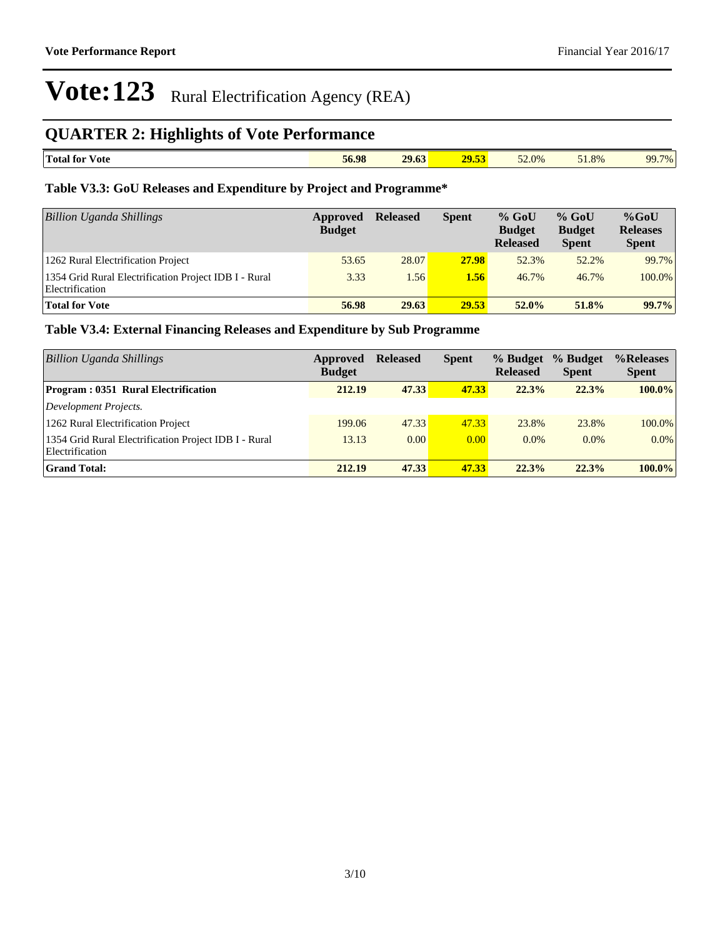## **QUARTER 2: Highlights of Vote Performance**

| i ran i<br>$ -$<br>Total for<br>v ote<br>. | 56.98 | 29.63<br>. | --<br>$-29.5$ | 52.0%<br>- - - | 51.8%<br>- - - - | 70/<br>$\alpha$ |
|--------------------------------------------|-------|------------|---------------|----------------|------------------|-----------------|

### **Table V3.3: GoU Releases and Expenditure by Project and Programme\***

| <b>Billion Uganda Shillings</b>                                          | Approved<br><b>Budget</b> | <b>Released</b> | <b>Spent</b> | $%$ GoU<br><b>Budget</b><br><b>Released</b> | $%$ GoU<br><b>Budget</b><br><b>Spent</b> | $%$ GoU<br><b>Releases</b><br><b>Spent</b> |
|--------------------------------------------------------------------------|---------------------------|-----------------|--------------|---------------------------------------------|------------------------------------------|--------------------------------------------|
| 1262 Rural Electrification Project                                       | 53.65                     | 28.07           | 27.98        | 52.3%                                       | 52.2%                                    | 99.7%                                      |
| 1354 Grid Rural Electrification Project IDB I - Rural<br>Electrification | 3.33                      | 1.56            | 1.56         | 46.7%                                       | 46.7%                                    | 100.0%                                     |
| <b>Total for Vote</b>                                                    | 56.98                     | 29.63           | 29.53        | 52.0%                                       | 51.8%                                    | 99.7%                                      |

### **Table V3.4: External Financing Releases and Expenditure by Sub Programme**

| <b>Billion Uganda Shillings</b>                                          | Approved<br><b>Budget</b> | <b>Released</b> | <b>Spent</b> | % Budget<br><b>Released</b> | % Budget<br><b>Spent</b> | %Releases<br><b>Spent</b> |
|--------------------------------------------------------------------------|---------------------------|-----------------|--------------|-----------------------------|--------------------------|---------------------------|
| Program: 0351 Rural Electrification                                      | 212.19                    | 47.33           | 47.33        | 22.3%                       | 22.3%                    | $100.0\%$                 |
| Development Projects.                                                    |                           |                 |              |                             |                          |                           |
| 1262 Rural Electrification Project                                       | 199.06                    | 47.33           | 47.33        | 23.8%                       | 23.8%                    | 100.0%                    |
| 1354 Grid Rural Electrification Project IDB I - Rural<br>Electrification | 13.13                     | 0.00            | 0.00         | $0.0\%$                     | $0.0\%$                  | $0.0\%$                   |
| <b>Grand Total:</b>                                                      | 212.19                    | 47.33           | 47.33        | 22.3%                       | 22.3%                    | $100.0\%$                 |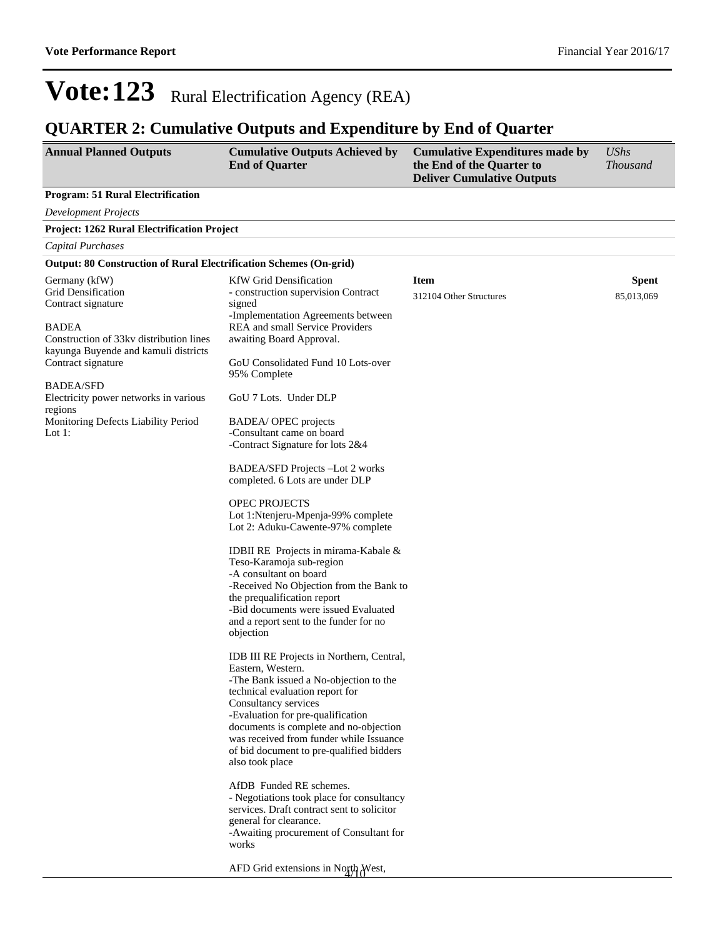## **QUARTER 2: Cumulative Outputs and Expenditure by End of Quarter**

| <b>Annual Planned Outputs</b>                                                                                                                                                                                                                                                                                          | <b>Cumulative Outputs Achieved by</b><br><b>End of Quarter</b>                                                                                                                                                                                                                                                                                                                                                                                                                                                                                                                                                                                                                                                                                                                                                                                                                                                                                                                                                                                                                                                                                                                                                                                                                              | <b>Cumulative Expenditures made by</b><br>the End of the Quarter to<br><b>Deliver Cumulative Outputs</b> | <b>UShs</b><br><b>Thousand</b> |
|------------------------------------------------------------------------------------------------------------------------------------------------------------------------------------------------------------------------------------------------------------------------------------------------------------------------|---------------------------------------------------------------------------------------------------------------------------------------------------------------------------------------------------------------------------------------------------------------------------------------------------------------------------------------------------------------------------------------------------------------------------------------------------------------------------------------------------------------------------------------------------------------------------------------------------------------------------------------------------------------------------------------------------------------------------------------------------------------------------------------------------------------------------------------------------------------------------------------------------------------------------------------------------------------------------------------------------------------------------------------------------------------------------------------------------------------------------------------------------------------------------------------------------------------------------------------------------------------------------------------------|----------------------------------------------------------------------------------------------------------|--------------------------------|
| <b>Program: 51 Rural Electrification</b>                                                                                                                                                                                                                                                                               |                                                                                                                                                                                                                                                                                                                                                                                                                                                                                                                                                                                                                                                                                                                                                                                                                                                                                                                                                                                                                                                                                                                                                                                                                                                                                             |                                                                                                          |                                |
| <b>Development Projects</b>                                                                                                                                                                                                                                                                                            |                                                                                                                                                                                                                                                                                                                                                                                                                                                                                                                                                                                                                                                                                                                                                                                                                                                                                                                                                                                                                                                                                                                                                                                                                                                                                             |                                                                                                          |                                |
| Project: 1262 Rural Electrification Project                                                                                                                                                                                                                                                                            |                                                                                                                                                                                                                                                                                                                                                                                                                                                                                                                                                                                                                                                                                                                                                                                                                                                                                                                                                                                                                                                                                                                                                                                                                                                                                             |                                                                                                          |                                |
| Capital Purchases                                                                                                                                                                                                                                                                                                      |                                                                                                                                                                                                                                                                                                                                                                                                                                                                                                                                                                                                                                                                                                                                                                                                                                                                                                                                                                                                                                                                                                                                                                                                                                                                                             |                                                                                                          |                                |
| <b>Output: 80 Construction of Rural Electrification Schemes (On-grid)</b>                                                                                                                                                                                                                                              |                                                                                                                                                                                                                                                                                                                                                                                                                                                                                                                                                                                                                                                                                                                                                                                                                                                                                                                                                                                                                                                                                                                                                                                                                                                                                             |                                                                                                          |                                |
| Germany (kfW)<br><b>Grid Densification</b><br>Contract signature<br><b>BADEA</b><br>Construction of 33 kv distribution lines<br>kayunga Buyende and kamuli districts<br>Contract signature<br><b>BADEA/SFD</b><br>Electricity power networks in various<br>regions<br>Monitoring Defects Liability Period<br>Lot $1$ : | <b>KfW</b> Grid Densification<br>- construction supervision Contract<br>signed<br>-Implementation Agreements between<br>REA and small Service Providers<br>awaiting Board Approval.<br>GoU Consolidated Fund 10 Lots-over<br>95% Complete<br>GoU 7 Lots. Under DLP<br>BADEA/ OPEC projects<br>-Consultant came on board<br>-Contract Signature for lots 2&4<br>BADEA/SFD Projects -Lot 2 works<br>completed. 6 Lots are under DLP<br>OPEC PROJECTS<br>Lot 1: Ntenjeru-Mpenja-99% complete<br>Lot 2: Aduku-Cawente-97% complete<br>IDBII RE Projects in mirama-Kabale &<br>Teso-Karamoja sub-region<br>-A consultant on board<br>-Received No Objection from the Bank to<br>the prequalification report<br>-Bid documents were issued Evaluated<br>and a report sent to the funder for no<br>objection<br>IDB III RE Projects in Northern, Central,<br>Eastern, Western.<br>-The Bank issued a No-objection to the<br>technical evaluation report for<br>Consultancy services<br>-Evaluation for pre-qualification<br>documents is complete and no-objection<br>was received from funder while Issuance<br>of bid document to pre-qualified bidders<br>also took place<br>AfDB Funded RE schemes.<br>- Negotiations took place for consultancy<br>services. Draft contract sent to solicitor | <b>Item</b><br>312104 Other Structures                                                                   | <b>Spent</b><br>85,013,069     |
|                                                                                                                                                                                                                                                                                                                        | general for clearance.<br>-Awaiting procurement of Consultant for<br>works<br>AFD Grid extensions in North West,                                                                                                                                                                                                                                                                                                                                                                                                                                                                                                                                                                                                                                                                                                                                                                                                                                                                                                                                                                                                                                                                                                                                                                            |                                                                                                          |                                |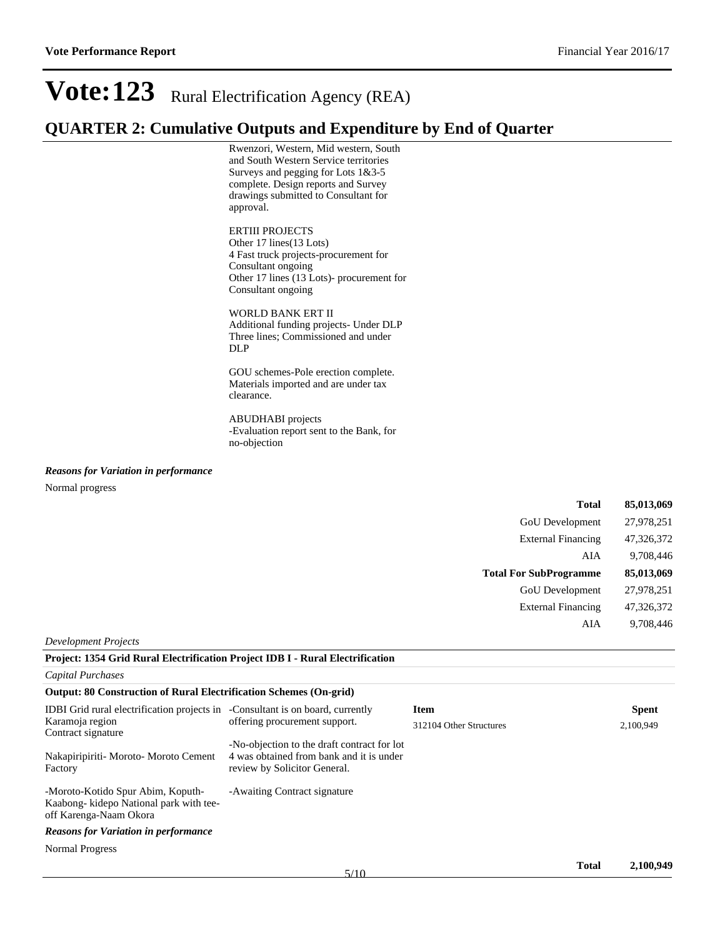### **QUARTER 2: Cumulative Outputs and Expenditure by End of Quarter**

Rwenzori, Western, Mid western, South and South Western Service territories Surveys and pegging for Lots 1&3-5 complete. Design reports and Survey drawings submitted to Consultant for approval.

#### ERTIII PROJECTS

Other 17 lines(13 Lots) 4 Fast truck projects-procurement for Consultant ongoing Other 17 lines (13 Lots)- procurement for Consultant ongoing

WORLD BANK ERT II Additional funding projects- Under DLP Three lines; Commissioned and under DLP

GOU schemes-Pole erection complete. Materials imported and are under tax clearance.

ABUDHABI projects -Evaluation report sent to the Bank, for no-objection

*Reasons for Variation in performance*

Normal progress

| <b>Total</b>                  | 85,013,069 |
|-------------------------------|------------|
| <b>GoU</b> Development        | 27,978,251 |
| <b>External Financing</b>     | 47,326,372 |
| AIA                           | 9,708,446  |
| <b>Total For SubProgramme</b> | 85,013,069 |
| <b>GoU</b> Development        | 27,978,251 |
|                               |            |
| <b>External Financing</b>     | 47,326,372 |
| AIA                           | 9,708,446  |

*Development Projects*

| Project: 1354 Grid Rural Electrification Project IDB I - Rural Electrification                         |                                                                                                                         |                         |              |
|--------------------------------------------------------------------------------------------------------|-------------------------------------------------------------------------------------------------------------------------|-------------------------|--------------|
| <b>Capital Purchases</b>                                                                               |                                                                                                                         |                         |              |
| <b>Output: 80 Construction of Rural Electrification Schemes (On-grid)</b>                              |                                                                                                                         |                         |              |
| <b>IDBI</b> Grid rural electrification projects in -Consultant is on board, currently                  |                                                                                                                         | <b>Item</b>             | <b>Spent</b> |
| Karamoja region<br>Contract signature                                                                  | offering procurement support.                                                                                           | 312104 Other Structures | 2,100,949    |
| Nakapiripiriti- Moroto- Moroto Cement<br>Factory                                                       | -No-objection to the draft contract for lot<br>4 was obtained from bank and it is under<br>review by Solicitor General. |                         |              |
| -Moroto-Kotido Spur Abim, Koputh-<br>Kaabong- kidepo National park with tee-<br>off Karenga-Naam Okora | -Awaiting Contract signature                                                                                            |                         |              |
| <b>Reasons for Variation in performance</b>                                                            |                                                                                                                         |                         |              |
| Normal Progress                                                                                        |                                                                                                                         |                         |              |
|                                                                                                        |                                                                                                                         |                         |              |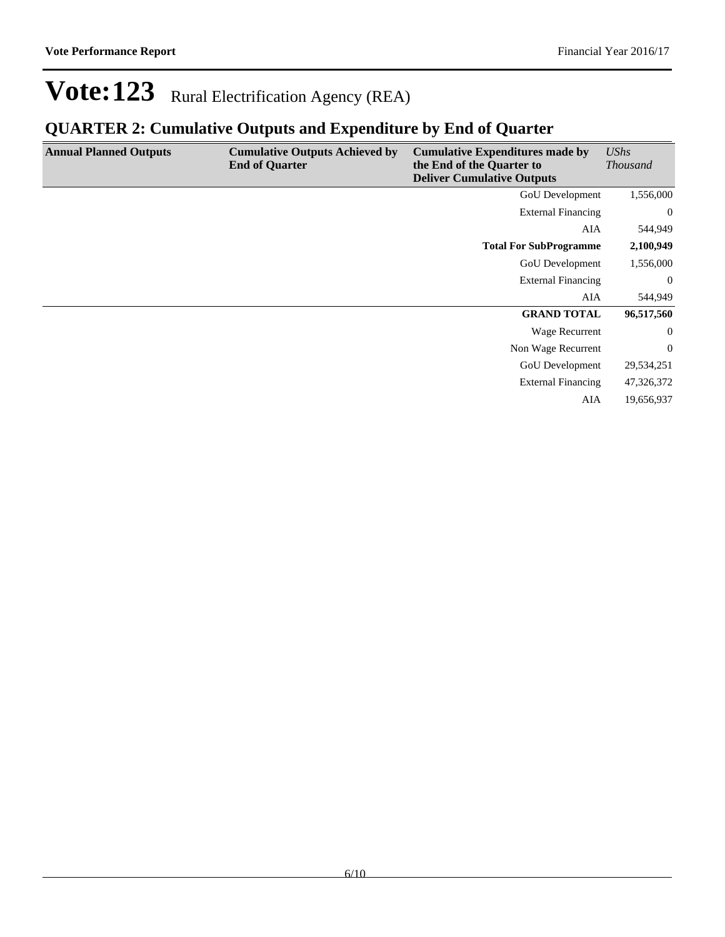## **QUARTER 2: Cumulative Outputs and Expenditure by End of Quarter**

| <b>Annual Planned Outputs</b> | <b>Cumulative Outputs Achieved by</b><br><b>End of Quarter</b> | <b>Cumulative Expenditures made by</b><br>the End of the Quarter to<br><b>Deliver Cumulative Outputs</b> | <b>UShs</b><br><b>Thousand</b> |
|-------------------------------|----------------------------------------------------------------|----------------------------------------------------------------------------------------------------------|--------------------------------|
|                               |                                                                | GoU Development                                                                                          | 1,556,000                      |
|                               |                                                                | <b>External Financing</b>                                                                                | $\overline{0}$                 |
|                               |                                                                | AIA                                                                                                      | 544,949                        |
|                               |                                                                | <b>Total For SubProgramme</b>                                                                            | 2,100,949                      |
|                               |                                                                | <b>GoU</b> Development                                                                                   | 1,556,000                      |
|                               |                                                                | <b>External Financing</b>                                                                                | $\overline{0}$                 |
|                               |                                                                | AIA                                                                                                      | 544,949                        |
|                               |                                                                | <b>GRAND TOTAL</b>                                                                                       | 96,517,560                     |
|                               |                                                                | Wage Recurrent                                                                                           | $\overline{0}$                 |
|                               |                                                                | Non Wage Recurrent                                                                                       | $\overline{0}$                 |
|                               |                                                                | <b>GoU</b> Development                                                                                   | 29,534,251                     |
|                               |                                                                | <b>External Financing</b>                                                                                | 47,326,372                     |
|                               |                                                                | AIA                                                                                                      | 19,656,937                     |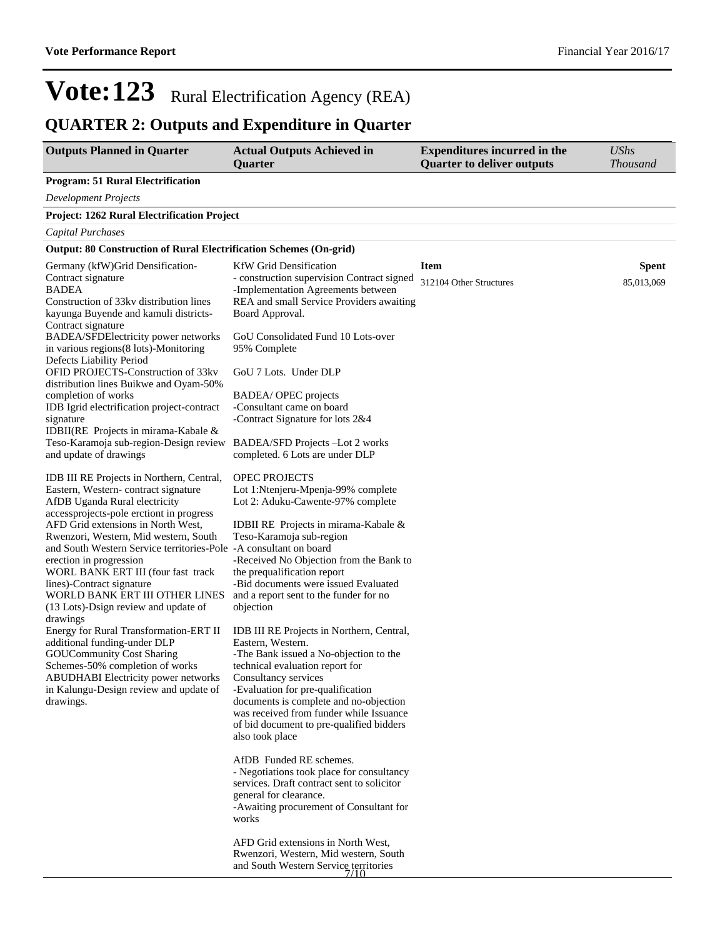## **QUARTER 2: Outputs and Expenditure in Quarter**

| <b>Outputs Planned in Quarter</b>                                                                                                                                                                                                                                                                                                                                                                                                                                                                                                               | <b>Actual Outputs Achieved in</b><br>Quarter                                                                                                                                                                                                                                                                                                                                        | <b>Expenditures incurred in the</b><br><b>Quarter to deliver outputs</b> | <b>UShs</b><br><b>Thousand</b> |
|-------------------------------------------------------------------------------------------------------------------------------------------------------------------------------------------------------------------------------------------------------------------------------------------------------------------------------------------------------------------------------------------------------------------------------------------------------------------------------------------------------------------------------------------------|-------------------------------------------------------------------------------------------------------------------------------------------------------------------------------------------------------------------------------------------------------------------------------------------------------------------------------------------------------------------------------------|--------------------------------------------------------------------------|--------------------------------|
| <b>Program: 51 Rural Electrification</b>                                                                                                                                                                                                                                                                                                                                                                                                                                                                                                        |                                                                                                                                                                                                                                                                                                                                                                                     |                                                                          |                                |
| <b>Development Projects</b>                                                                                                                                                                                                                                                                                                                                                                                                                                                                                                                     |                                                                                                                                                                                                                                                                                                                                                                                     |                                                                          |                                |
| <b>Project: 1262 Rural Electrification Project</b>                                                                                                                                                                                                                                                                                                                                                                                                                                                                                              |                                                                                                                                                                                                                                                                                                                                                                                     |                                                                          |                                |
| Capital Purchases                                                                                                                                                                                                                                                                                                                                                                                                                                                                                                                               |                                                                                                                                                                                                                                                                                                                                                                                     |                                                                          |                                |
| <b>Output: 80 Construction of Rural Electrification Schemes (On-grid)</b>                                                                                                                                                                                                                                                                                                                                                                                                                                                                       |                                                                                                                                                                                                                                                                                                                                                                                     |                                                                          |                                |
| Germany (kfW) Grid Densification-<br>Contract signature<br><b>BADEA</b><br>Construction of 33kv distribution lines<br>kayunga Buyende and kamuli districts-<br>Contract signature<br>BADEA/SFDElectricity power networks<br>in various regions(8 lots)-Monitoring<br>Defects Liability Period<br>OFID PROJECTS-Construction of 33kv<br>distribution lines Buikwe and Oyam-50%                                                                                                                                                                   | <b>KfW</b> Grid Densification<br>- construction supervision Contract signed<br>-Implementation Agreements between<br>REA and small Service Providers awaiting<br>Board Approval.<br>GoU Consolidated Fund 10 Lots-over<br>95% Complete<br>GoU 7 Lots. Under DLP                                                                                                                     | <b>Item</b><br>312104 Other Structures                                   | <b>Spent</b><br>85,013,069     |
| completion of works<br>IDB Igrid electrification project-contract<br>signature<br>IDBII(RE Projects in mirama-Kabale &<br>Teso-Karamoja sub-region-Design review<br>and update of drawings                                                                                                                                                                                                                                                                                                                                                      | BADEA/ OPEC projects<br>-Consultant came on board<br>-Contract Signature for lots 2&4<br>BADEA/SFD Projects -Lot 2 works<br>completed. 6 Lots are under DLP                                                                                                                                                                                                                         |                                                                          |                                |
| IDB III RE Projects in Northern, Central,<br>Eastern, Western-contract signature<br>AfDB Uganda Rural electricity<br>accessprojects-pole erctiont in progress<br>AFD Grid extensions in North West,<br>Rwenzori, Western, Mid western, South<br>and South Western Service territories-Pole -A consultant on board<br>erection in progression<br>WORL BANK ERT III (four fast track<br>lines)-Contract signature<br>WORLD BANK ERT III OTHER LINES<br>(13 Lots)-Dsign review and update of<br>drawings<br>Energy for Rural Transformation-ERT II | OPEC PROJECTS<br>Lot 1: Ntenjeru-Mpenja-99% complete<br>Lot 2: Aduku-Cawente-97% complete<br>IDBII RE Projects in mirama-Kabale &<br>Teso-Karamoja sub-region<br>-Received No Objection from the Bank to<br>the prequalification report<br>-Bid documents were issued Evaluated<br>and a report sent to the funder for no<br>objection<br>IDB III RE Projects in Northern, Central, |                                                                          |                                |
| additional funding-under DLP<br><b>GOUCommunity Cost Sharing</b><br>Schemes-50% completion of works<br><b>ABUDHABI</b> Electricity power networks<br>in Kalungu-Design review and update of<br>drawings.                                                                                                                                                                                                                                                                                                                                        | Eastern, Western.<br>-The Bank issued a No-objection to the<br>technical evaluation report for<br>Consultancy services<br>-Evaluation for pre-qualification<br>documents is complete and no-objection<br>was received from funder while Issuance<br>of bid document to pre-qualified bidders<br>also took place                                                                     |                                                                          |                                |
|                                                                                                                                                                                                                                                                                                                                                                                                                                                                                                                                                 | AfDB Funded RE schemes.<br>- Negotiations took place for consultancy<br>services. Draft contract sent to solicitor<br>general for clearance.<br>-Awaiting procurement of Consultant for<br>works<br>AFD Grid extensions in North West,                                                                                                                                              |                                                                          |                                |
|                                                                                                                                                                                                                                                                                                                                                                                                                                                                                                                                                 | Rwenzori, Western, Mid western, South<br>and South Western Service territories                                                                                                                                                                                                                                                                                                      |                                                                          |                                |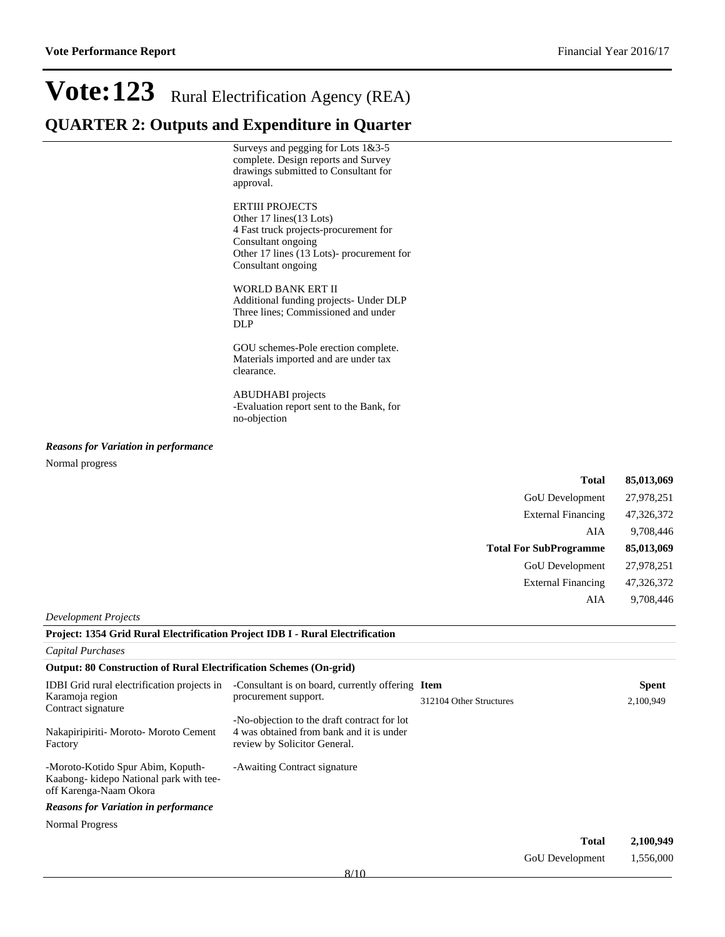### **QUARTER 2: Outputs and Expenditure in Quarter**

Surveys and pegging for Lots 1&3-5 complete. Design reports and Survey drawings submitted to Consultant for approval.

#### ERTIII PROJECTS

Other 17 lines(13 Lots) 4 Fast truck projects-procurement for Consultant ongoing Other 17 lines (13 Lots)- procurement for Consultant ongoing

WORLD BANK ERT II

Additional funding projects- Under DLP Three lines; Commissioned and under DLP

GOU schemes-Pole erection complete. Materials imported and are under tax clearance.

ABUDHABI projects -Evaluation report sent to the Bank, for no-objection

#### *Reasons for Variation in performance*

Normal progress

| <b>Total</b>                  | 85,013,069 |
|-------------------------------|------------|
| <b>GoU</b> Development        | 27,978,251 |
| <b>External Financing</b>     | 47,326,372 |
| AIA                           | 9,708,446  |
| <b>Total For SubProgramme</b> | 85,013,069 |
| <b>GoU</b> Development        | 27,978,251 |
| <b>External Financing</b>     | 47,326,372 |
| AIA                           | 9,708,446  |

#### *Development Projects*

| Project: 1354 Grid Rural Electrification Project IDB I - Rural Electrification                        |                                                                                                                         |                         |              |              |
|-------------------------------------------------------------------------------------------------------|-------------------------------------------------------------------------------------------------------------------------|-------------------------|--------------|--------------|
| <b>Capital Purchases</b>                                                                              |                                                                                                                         |                         |              |              |
| <b>Output: 80 Construction of Rural Electrification Schemes (On-grid)</b>                             |                                                                                                                         |                         |              |              |
| <b>IDBI</b> Grid rural electrification projects in                                                    | -Consultant is on board, currently offering Item                                                                        |                         |              | <b>Spent</b> |
| Karamoja region<br>Contract signature                                                                 | procurement support.                                                                                                    | 312104 Other Structures |              | 2,100,949    |
| Nakapiripiriti- Moroto- Moroto Cement<br>Factory                                                      | -No-objection to the draft contract for lot<br>4 was obtained from bank and it is under<br>review by Solicitor General. |                         |              |              |
| -Moroto-Kotido Spur Abim, Koputh-<br>Kaabong-kidepo National park with tee-<br>off Karenga-Naam Okora | -Awaiting Contract signature                                                                                            |                         |              |              |
| <b>Reasons for Variation in performance</b>                                                           |                                                                                                                         |                         |              |              |
| Normal Progress                                                                                       |                                                                                                                         |                         |              |              |
|                                                                                                       |                                                                                                                         |                         | <b>Total</b> | 2,100,949    |

| GoU Development | 1,556,000 |
|-----------------|-----------|
|                 |           |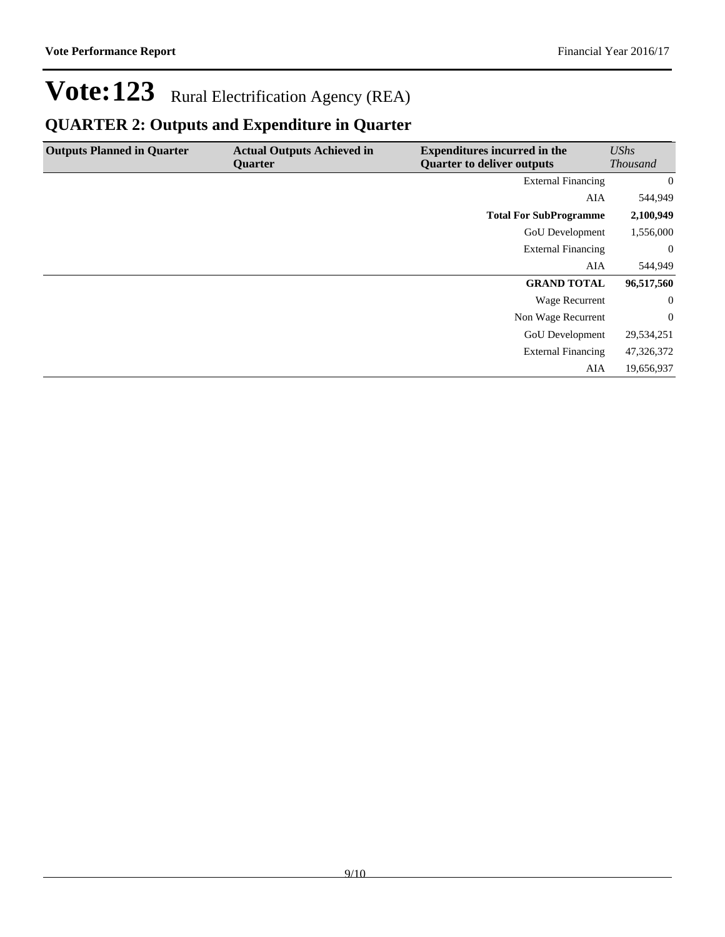## **QUARTER 2: Outputs and Expenditure in Quarter**

| <b>Outputs Planned in Quarter</b> | <b>Actual Outputs Achieved in</b> | <b>Expenditures incurred in the</b> | UShs            |
|-----------------------------------|-----------------------------------|-------------------------------------|-----------------|
|                                   | <b>Ouarter</b>                    | <b>Quarter to deliver outputs</b>   | <b>Thousand</b> |
|                                   |                                   | <b>External Financing</b>           | $\overline{0}$  |
|                                   |                                   | AIA                                 | 544,949         |
|                                   |                                   | <b>Total For SubProgramme</b>       | 2,100,949       |
|                                   |                                   | GoU Development                     | 1,556,000       |
|                                   |                                   | <b>External Financing</b>           | $\overline{0}$  |
|                                   |                                   | AIA                                 | 544,949         |
|                                   |                                   | <b>GRAND TOTAL</b>                  | 96,517,560      |
|                                   |                                   | Wage Recurrent                      | $\theta$        |
|                                   |                                   | Non Wage Recurrent                  | $\theta$        |
|                                   |                                   | <b>GoU</b> Development              | 29,534,251      |
|                                   |                                   | <b>External Financing</b>           | 47,326,372      |
|                                   |                                   | AIA                                 | 19,656,937      |